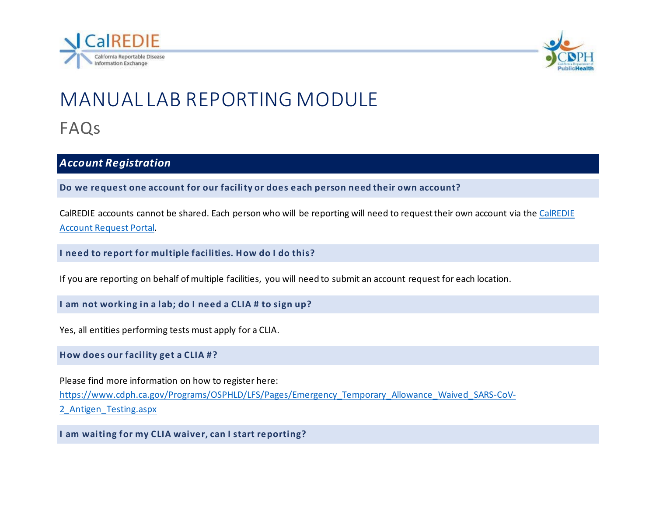



# MANUAL LAB REPORTING MODULE FAQs

#### *Account Registration*

**Do we request one account for our facility or does each person need their own account?**

CalREDIE accounts cannot be shared. Each person who will be reporting will need to request their own account via the [CalREDIE](https://calrediehelp.powerappsportals.us/)  [Account Request Portal.](https://calrediehelp.powerappsportals.us/)

**I need to report for multiple facilities. How do I do this?**

If you are reporting on behalf of multiple facilities, you will need to submit an account request for each location.

**I am not working in a lab; do I need a CLIA # to sign up?**

Yes, all entities performing tests must apply for a CLIA.

**How does our facility get a CLIA #?**

Please find more information on how to register here: [https://www.cdph.ca.gov/Programs/OSPHLD/LFS/Pages/Emergency\\_Temporary\\_Allowance\\_Waived\\_SARS-CoV-](https://www.cdph.ca.gov/Programs/OSPHLD/LFS/Pages/Emergency_Temporary_Allowance_Waived_SARS-CoV-2_Antigen_Testing.aspx)2 Antigen Testing.aspx

**I am waiting for my CLIA waiver, can I start reporting?**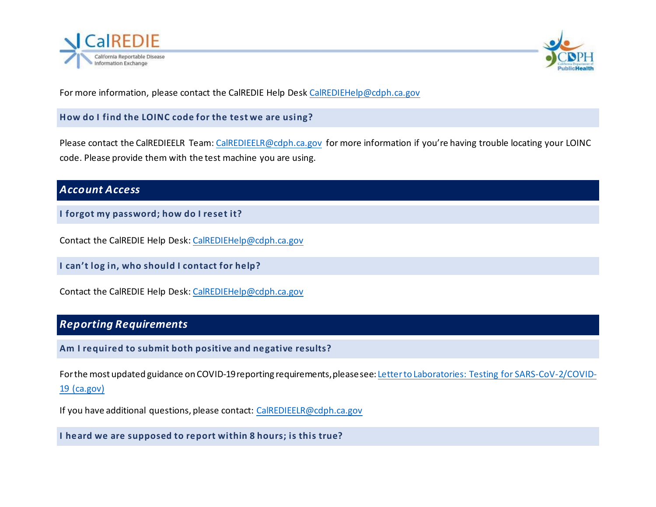



For more information, please contact the CalREDIE Help Des[k CalREDIEHelp@cdph.ca.gov](mailto:CalREDIEHelp@cdph.ca.gov)

**How do I find the LOINC code for the test we are using?**

Please contact the CalREDIEELR Team: [CalREDIEELR@cdph.ca.gov](mailto:CalREDIEHelp@cdph.ca.gov) for more information if you're having trouble locating your LOINC code. Please provide them with the test machine you are using.

#### *Account Access*

**I forgot my password; how do I reset it?** 

Contact the CalREDIE Help Desk[: CalREDIEHelp@cdph.ca.gov](mailto:CalREDIEHelp@cdph.ca.gov)

**I can't log in, who should I contact for help?**

Contact the CalREDIE Help Desk[: CalREDIEHelp@cdph.ca.gov](mailto:CalREDIEHelp@cdph.ca.gov)

## *Reporting Requirements*

**Am I required to submit both positive and negative results?**

For the most updated guidance on COVID-19 reporting requirements, please see[: Letter to Laboratories: Testing for SARS-CoV-2/COVID-](https://www.cdph.ca.gov/Programs/OSPHLD/LFS/Pages/LFSCOVID19ltr-1.aspx)[19 \(ca.gov\)](https://www.cdph.ca.gov/Programs/OSPHLD/LFS/Pages/LFSCOVID19ltr-1.aspx)

If you have additional questions, please contact: [CalREDIEELR@cdph.ca.gov](mailto:CalREDIEELR@cdph.ca.gov)

**I heard we are supposed to report within 8 hours; is this true?**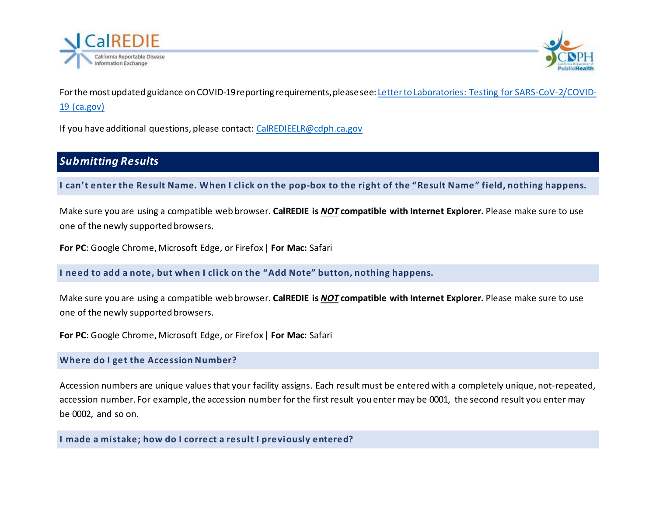



For the most updated guidance on COVID-19 reporting requirements, please see[: Letter to Laboratories: Testing for SARS-CoV-2/COVID-](https://www.cdph.ca.gov/Programs/OSPHLD/LFS/Pages/LFSCOVID19ltr-1.aspx)[19 \(ca.gov\)](https://www.cdph.ca.gov/Programs/OSPHLD/LFS/Pages/LFSCOVID19ltr-1.aspx)

If you have additional questions, please contact: [CalREDIEELR@cdph.ca.gov](mailto:CalREDIEELR@cdph.ca.gov)

## *Submitting Results*

**I can't enter the Result Name. When I click on the pop-box to the right of the "Result Name" field, nothing happens.**

Make sure you are using a compatible web browser. **CalREDIE is** *NOT* **compatible with Internet Explorer.** Please make sure to use one of the newly supported browsers.

**For PC**: Google Chrome, Microsoft Edge, or Firefox| **For Mac:** Safari

**I need to add a note, but when I click on the "Add Note" button, nothing happens.**

Make sure you are using a compatible web browser. **CalREDIE is** *NOT* **compatible with Internet Explorer.** Please make sure to use one of the newly supported browsers.

**For PC**: Google Chrome, Microsoft Edge, or Firefox| **For Mac:** Safari

#### **Where do I get the Accession Number?**

Accession numbers are unique values that your facility assigns. Each result must be entered with a completely unique, not-repeated, accession number. For example, the accession number for the first result you enter may be 0001, the second result you enter may be 0002, and so on.

**I made a mistake; how do I correct a result I previously entered?**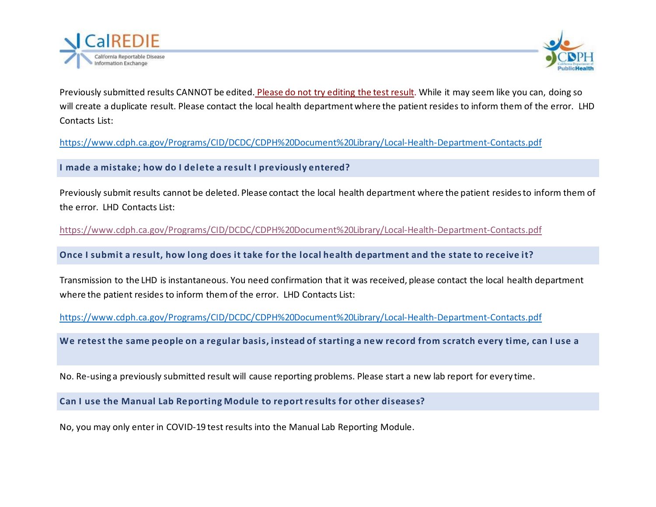



Previously submitted results CANNOT be edited. Please do not try editing the test result. While it may seem like you can, doing so will create a duplicate result. Please contact the local health department where the patient resides to inform them of the error. LHD Contacts List:

<https://www.cdph.ca.gov/Programs/CID/DCDC/CDPH%20Document%20Library/Local-Health-Department-Contacts.pdf>

**I made a mistake; how do I delete a result I previously entered?**

Previously submit results cannot be deleted. Please contact the local health department where the patient residesto inform them of the error. LHD Contacts List:

<https://www.cdph.ca.gov/Programs/CID/DCDC/CDPH%20Document%20Library/Local-Health-Department-Contacts.pdf>

**Once I submit a result, how long does it take for the local health department and the state to receive it?**

Transmission to the LHD is instantaneous. You need confirmation that it was received, please contact the local health department where the patient resides to inform them of the error. LHD Contacts List:

<https://www.cdph.ca.gov/Programs/CID/DCDC/CDPH%20Document%20Library/Local-Health-Department-Contacts.pdf>

**We retest the same people on a regular basis, instead of starting a new record from scratch every time, can I use a** 

No. Re-using a previously submitted result will cause reporting problems. Please start a new lab report for every time.

**Can I use the Manual Lab Reporting Module to report results for other diseases?** 

No, you may only enter in COVID-19 test results into the Manual Lab Reporting Module.